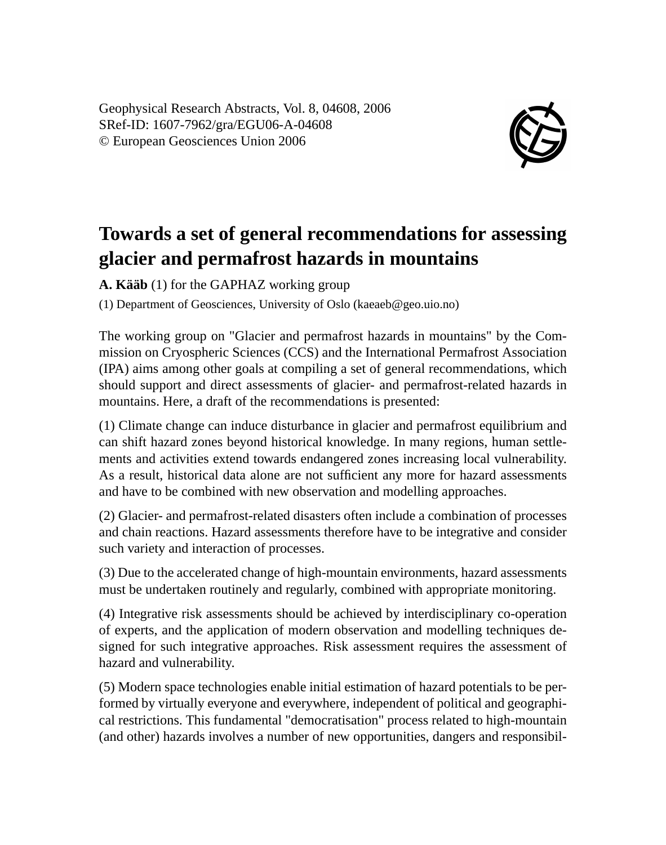Geophysical Research Abstracts, Vol. 8, 04608, 2006 SRef-ID: 1607-7962/gra/EGU06-A-04608 © European Geosciences Union 2006



## **Towards a set of general recommendations for assessing glacier and permafrost hazards in mountains**

**A. Kääb** (1) for the GAPHAZ working group

(1) Department of Geosciences, University of Oslo (kaeaeb@geo.uio.no)

The working group on "Glacier and permafrost hazards in mountains" by the Commission on Cryospheric Sciences (CCS) and the International Permafrost Association (IPA) aims among other goals at compiling a set of general recommendations, which should support and direct assessments of glacier- and permafrost-related hazards in mountains. Here, a draft of the recommendations is presented:

(1) Climate change can induce disturbance in glacier and permafrost equilibrium and can shift hazard zones beyond historical knowledge. In many regions, human settlements and activities extend towards endangered zones increasing local vulnerability. As a result, historical data alone are not sufficient any more for hazard assessments and have to be combined with new observation and modelling approaches.

(2) Glacier- and permafrost-related disasters often include a combination of processes and chain reactions. Hazard assessments therefore have to be integrative and consider such variety and interaction of processes.

(3) Due to the accelerated change of high-mountain environments, hazard assessments must be undertaken routinely and regularly, combined with appropriate monitoring.

(4) Integrative risk assessments should be achieved by interdisciplinary co-operation of experts, and the application of modern observation and modelling techniques designed for such integrative approaches. Risk assessment requires the assessment of hazard and vulnerability.

(5) Modern space technologies enable initial estimation of hazard potentials to be performed by virtually everyone and everywhere, independent of political and geographical restrictions. This fundamental "democratisation" process related to high-mountain (and other) hazards involves a number of new opportunities, dangers and responsibil